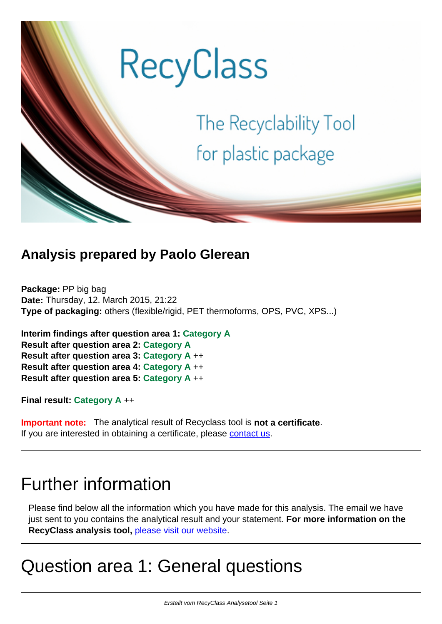

### **Analysis prepared by Paolo Glerean**

**Package:** PP big bag **Date:** Thursday, 12. March 2015, 21:22 **Type of packaging:** others (flexible/rigid, PET thermoforms, OPS, PVC, XPS...)

**Interim findings after question area 1: Category A Result after question area 2: Category A Result after question area 3: Category A** ++ **Result after question area 4: Category A** ++ **Result after question area 5: Category A** ++

**Final result: Category A** ++

**Important note:** The analytical result of Recyclass tool is **not a certificate**. If you are interested in obtaining a certificate, please [contact us.](mailto:sv-ahaus@t-online.de)

# Further information

Please find below all the information which you have made for this analysis. The email we have just sent to you contains the analytical result and your statement. **For more information on the RecyClass analysis tool,** [please visit our website.](http://www.recyclass.eu/en/information)

# Question area 1: General questions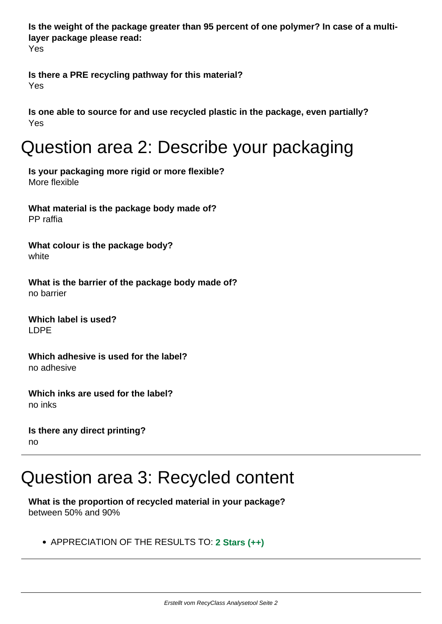**Is the weight of the package greater than 95 percent of one polymer? In case of a multilayer package please read:** 

Yes

**Is there a PRE recycling pathway for this material?**  Yes

**Is one able to source for and use recycled plastic in the package, even partially?**  Yes

# Question area 2: Describe your packaging

**Is your packaging more rigid or more flexible?**  More flexible

**What material is the package body made of?**  PP raffia

**What colour is the package body?**  white

**What is the barrier of the package body made of?**  no barrier

**Which label is used?**  LDPE

**Which adhesive is used for the label?**  no adhesive

**Which inks are used for the label?**  no inks

**Is there any direct printing?**  no

# Question area 3: Recycled content

**What is the proportion of recycled material in your package?**  between 50% and 90%

APPRECIATION OF THE RESULTS TO: **2 Stars (++)**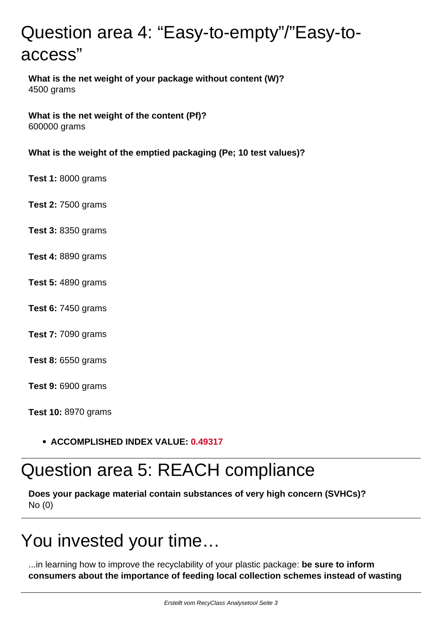# Question area 4: "Easy-to-empty"/"Easy-toaccess"

**What is the net weight of your package without content (W)?**  4500 grams

**What is the net weight of the content (Pf)?**  600000 grams

**What is the weight of the emptied packaging (Pe; 10 test values)?**

**Test 1:** 8000 grams

**Test 2:** 7500 grams

- **Test 3:** 8350 grams
- **Test 4:** 8890 grams
- **Test 5:** 4890 grams
- **Test 6:** 7450 grams
- **Test 7:** 7090 grams
- **Test 8:** 6550 grams

**Test 9:** 6900 grams

**Test 10:** 8970 grams

#### **ACCOMPLISHED INDEX VALUE: 0.49317**

### Question area 5: REACH compliance

**Does your package material contain substances of very high concern (SVHCs)?**  No (0)

# You invested your time…

...in learning how to improve the recyclability of your plastic package: **be sure to inform consumers about the importance of feeding local collection schemes instead of wasting**